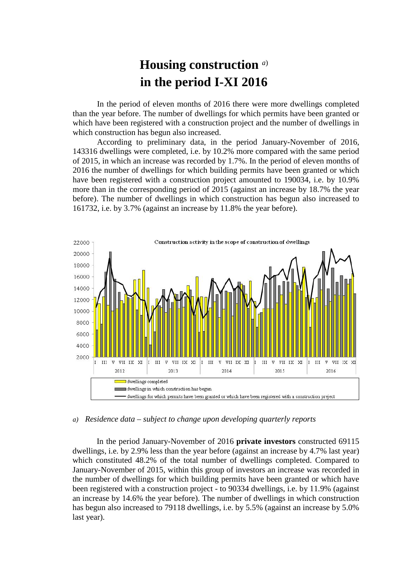## **Housing construction** *a*) **in the period I-XI 2016**

In the period of eleven months of 2016 there were more dwellings completed than the year before. The number of dwellings for which permits have been granted or which have been registered with a construction project and the number of dwellings in which construction has begun also increased.

According to preliminary data, in the period January-November of 2016, 143316 dwellings were completed, i.e. by 10.2% more compared with the same period of 2015, in which an increase was recorded by 1.7%. In the period of eleven months of 2016 the number of dwellings for which building permits have been granted or which have been registered with a construction project amounted to 190034, i.e. by 10.9% more than in the corresponding period of 2015 (against an increase by 18.7% the year before). The number of dwellings in which construction has begun also increased to 161732, i.e. by 3.7% (against an increase by 11.8% the year before).



*a) Residence data – subject to change upon developing quarterly reports*

In the period January-November of 2016 **private investors** constructed 69115 dwellings, i.e. by 2.9% less than the year before (against an increase by 4.7% last year) which constituted 48.2% of the total number of dwellings completed. Compared to January-November of 2015, within this group of investors an increase was recorded in the number of dwellings for which building permits have been granted or which have been registered with a construction project - to 90334 dwellings, i.e. by 11.9% (against an increase by 14.6% the year before). The number of dwellings in which construction has begun also increased to 79118 dwellings, i.e. by 5.5% (against an increase by 5.0% last year).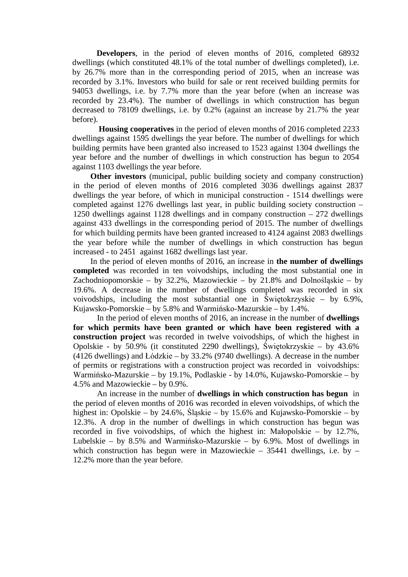**Developers**, in the period of eleven months of 2016, completed 68932 dwellings (which constituted 48.1% of the total number of dwellings completed), i.e. by 26.7% more than in the corresponding period of 2015, when an increase was recorded by 3.1%. Investors who build for sale or rent received building permits for 94053 dwellings, i.e. by 7.7% more than the year before (when an increase was recorded by 23.4%). The number of dwellings in which construction has begun decreased to 78109 dwellings, i.e. by 0.2% (against an increase by 21.7% the year before).

**Housing cooperatives** in the period of eleven months of 2016 completed 2233 dwellings against 1595 dwellings the year before. The number of dwellings for which building permits have been granted also increased to 1523 against 1304 dwellings the year before and the number of dwellings in which construction has begun to 2054 against 1103 dwellings the year before.

**Other investors** (municipal, public building society and company construction) in the period of eleven months of 2016 completed 3036 dwellings against 2837 dwellings the year before, of which in municipal construction - 1514 dwellings were completed against 1276 dwellings last year, in public building society construction – 1250 dwellings against 1128 dwellings and in company construction – 272 dwellings against 433 dwellings in the corresponding period of 2015. The number of dwellings for which building permits have been granted increased to 4124 against 2083 dwellings the year before while the number of dwellings in which construction has begun increased - to 2451 against 1682 dwellings last year.

In the period of eleven months of 2016, an increase in **the number of dwellings completed** was recorded in ten voivodships, including the most substantial one in Zachodniopomorskie – by 32.2%, Mazowieckie – by 21.8% and Dolnośląskie – by 19.6%. A decrease in the number of dwellings completed was recorded in six voivodships, including the most substantial one in Świętokrzyskie – by 6.9%, Kujawsko-Pomorskie – by 5.8% and Warmińsko-Mazurskie – by 1.4%.

In the period of eleven months of 2016, an increase in the number of **dwellings for which permits have been granted or which have been registered with a construction project** was recorded in twelve voivodships, of which the highest in Opolskie - by 50.9% (it constituted 2290 dwellings), Świętokrzyskie – by 43.6% (4126 dwellings) and Łódzkie – by 33.2% (9740 dwellings). A decrease in the number of permits or registrations with a construction project was recorded in voivodships: Warmińsko-Mazurskie – by 19.1%, Podlaskie - by 14.0%, Kujawsko-Pomorskie – by 4.5% and Mazowieckie – by 0.9%.

An increase in the number of **dwellings in which construction has begun** in the period of eleven months of 2016 was recorded in eleven voivodships, of which the highest in: Opolskie – by 24.6%, Śląskie – by 15.6% and Kujawsko-Pomorskie – by 12.3%. A drop in the number of dwellings in which construction has begun was recorded in five voivodships, of which the highest in: Małopolskie – by 12.7%, Lubelskie – by 8.5% and Warmińsko-Mazurskie – by 6.9%. Most of dwellings in which construction has begun were in Mazowieckie – 35441 dwellings, i.e. by – 12.2% more than the year before.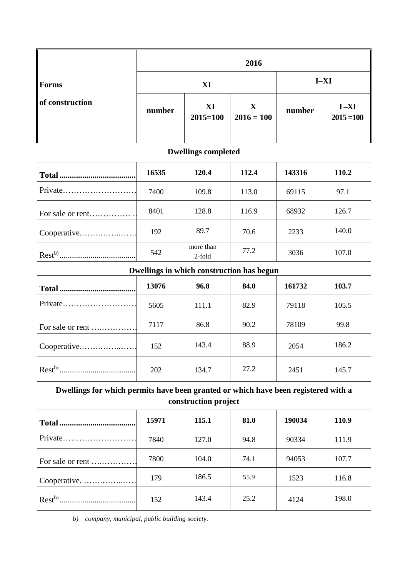|                                                                                                            | 2016   |                     |                             |        |                          |
|------------------------------------------------------------------------------------------------------------|--------|---------------------|-----------------------------|--------|--------------------------|
| <b>Forms</b><br>of construction                                                                            | XI     |                     |                             | $I-XI$ |                          |
|                                                                                                            | number | XI<br>$2015 = 100$  | $\mathbf X$<br>$2016 = 100$ | number | $I - XI$<br>$2015 = 100$ |
| <b>Dwellings completed</b>                                                                                 |        |                     |                             |        |                          |
|                                                                                                            | 16535  | 120.4               | 112.4                       | 143316 | 110.2                    |
| Private                                                                                                    | 7400   | 109.8               | 113.0                       | 69115  | 97.1                     |
| For sale or rent                                                                                           | 8401   | 128.8               | 116.9                       | 68932  | 126.7                    |
| Cooperative                                                                                                | 192    | 89.7                | 70.6                        | 2233   | 140.0                    |
|                                                                                                            | 542    | more than<br>2-fold | 77.2                        | 3036   | 107.0                    |
| Dwellings in which construction has begun                                                                  |        |                     |                             |        |                          |
|                                                                                                            | 13076  | 96.8                | 84.0                        | 161732 | 103.7                    |
| Private                                                                                                    | 5605   | 111.1               | 82.9                        | 79118  | 105.5                    |
| For sale or rent                                                                                           | 7117   | 86.8                | 90.2                        | 78109  | 99.8                     |
| Cooperative                                                                                                | 152    | 143.4               | 88.9                        | 2054   | 186.2                    |
|                                                                                                            | 202    | 134.7               | 27.2                        | 2451   | 145.7                    |
| Dwellings for which permits have been granted or which have been registered with a<br>construction project |        |                     |                             |        |                          |
|                                                                                                            | 15971  | 115.1               | 81.0                        | 190034 | 110.9                    |
|                                                                                                            | 7840   | 127.0               | 94.8                        | 90334  | 111.9                    |
| For sale or rent                                                                                           | 7800   | 104.0               | 74.1                        | 94053  | 107.7                    |
| Cooperative.                                                                                               | 179    | 186.5               | 55.9                        | 1523   | 116.8                    |
|                                                                                                            | 152    | 143.4               | 25.2                        | 4124   | 198.0                    |

*b) company, municipal, public building society.*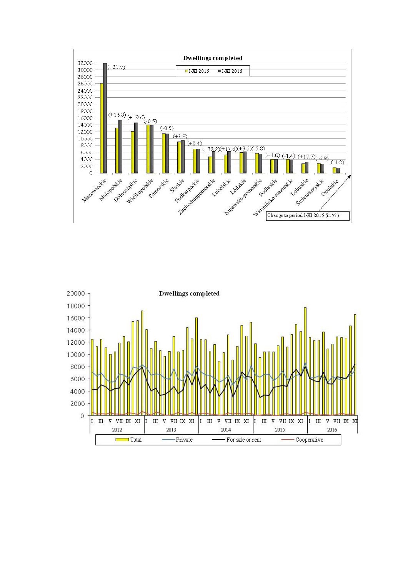